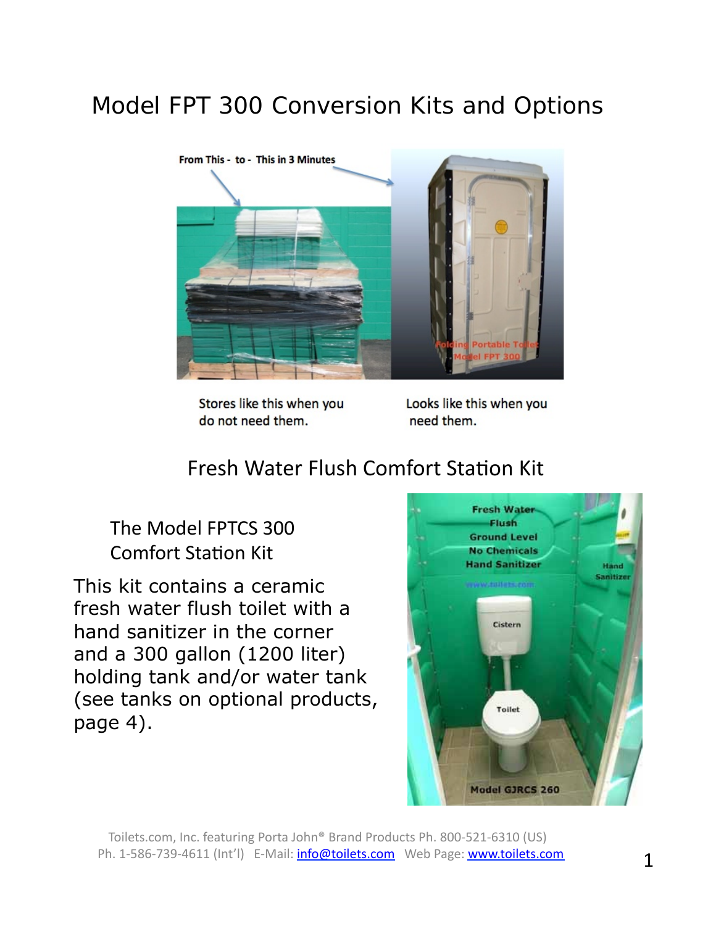# Model FPT 300 Conversion Kits and Options



Stores like this when you do not need them.

Looks like this when you need them.

## **Fresh Water Flush Comfort Station Kit**

The Model FPTCS 300 **Comfort Station Kit** 

This kit contains a ceramic fresh water flush toilet with a hand sanitizer in the corner and a 300 gallon (1200 liter) holding tank and/or water tank (see tanks on optional products, page 4).



Toilets.com, Inc. featuring Porta John® Brand Products Ph. 800-521-6310 (US) Ph. 1-586-739-4611 (Int'l) E-Mail: *info@toilets.com* Web Page: **www.toilets.com**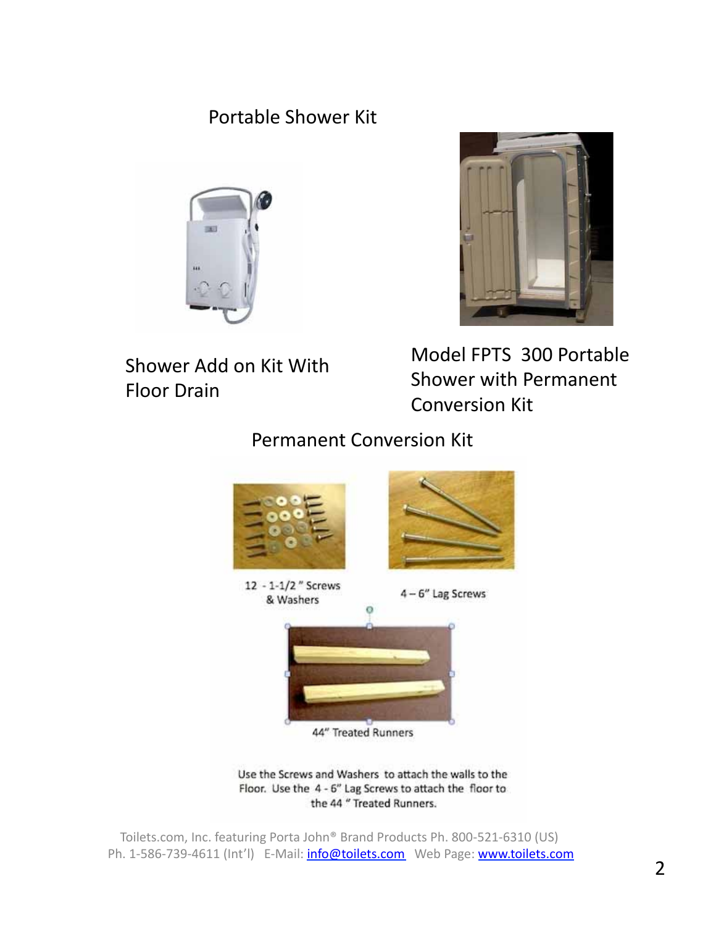### **Portable Shower Kit**





Shower Add on Kit With **Floor Drain** 

Model FPTS 300 Portable **Shower with Permanent Conversion Kit** 

**Permanent Conversion Kit** 



Use the Screws and Washers to attach the walls to the Floor. Use the 4 - 6" Lag Screws to attach the floor to the 44 " Treated Runners.

Toilets.com, Inc. featuring Porta John® Brand Products Ph. 800-521-6310 (US) Ph. 1-586-739-4611 (Int'l) E-Mail: info@toilets.com Web Page: www.toilets.com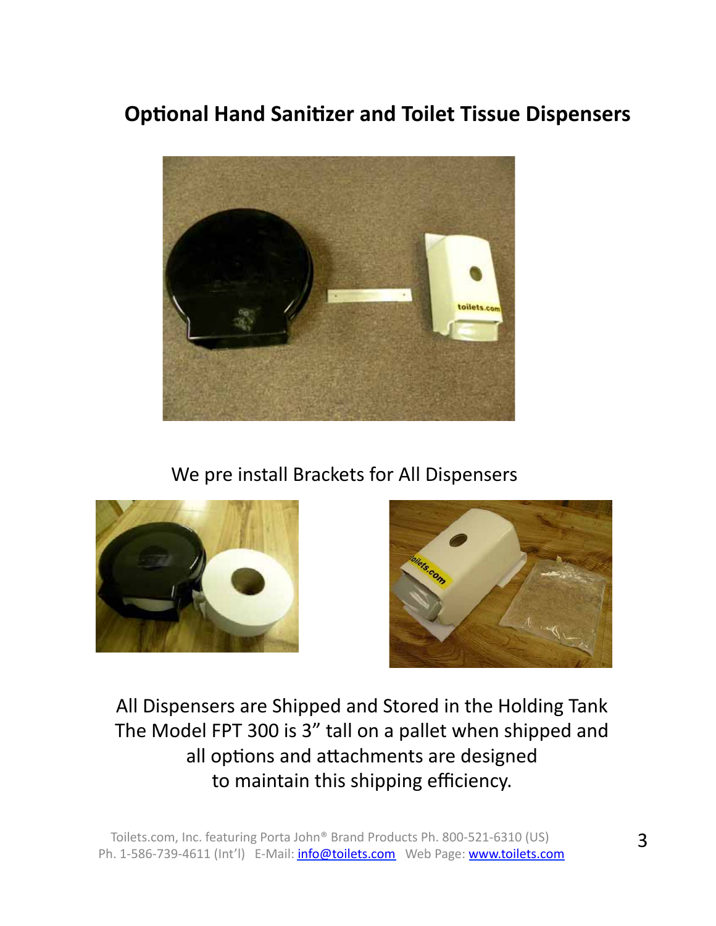# **Optional Hand Sanitizer and Toilet Tissue Dispensers**



We pre install Brackets for All Dispensers





All Dispensers are Shipped and Stored in the Holding Tank The Model FPT 300 is 3" tall on a pallet when shipped and all options and attachments are designed to maintain this shipping efficiency.